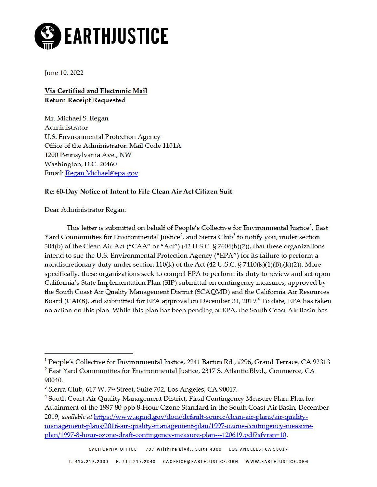

June 10, 2022

**Via Certified and Electronic Mail Return Receipt Requested** 

Mr. Michael S. Regan Administrator U.S. Environmental Protection Agency Office of the Administrator: Mail Code 1101A 1200 Pennsylvania Ave., NW Washington, D.C. 20460 Email: [Regan.Michael@epa.gov](mailto:Regan.Michael@epa.gov) 

## **Re: 60-Day Notice of Intent to File Clean Air Act Citizen Suit**

Dear Administrator Regan:

This letter is submitted on behalf of People's Collective for Environmental Justice<sup>[1](#page-0-0)</sup>, East Yard Communities for Environmental Justice<sup>2</sup>, and Sierra Club<sup>3</sup> to notify you, under section 304(b) of the Clean Air Act ("CAA" or "Act") (42 U.S.C. § 7604(b)(2)), that these organizations intend to sue the U.S. Environmental Protection Agency ("EPA") for its failure to perform a nondiscretionary duty under section  $110(k)$  of the Act  $(42 \text{ U.S.C. } \frac{57410(k)(1)(B)}{k})(k)(2))$ . More specifically, these organizations seek to compel EPA to perform its duty to review and act upon California's State Implementation Plan (SIP) submittal on contingency measures, approved by the South Coast Air Quality Management District (SCAQMD) and the California Air Resources Board (CARB), and submitted for EPA approval on December 31, 2019. [4](#page-0-3) To date, EPA has taken no action on this plan. While this plan has been pending at EPA, the South Coast Air Basin has

<span id="page-0-0"></span><sup>&</sup>lt;sup>1</sup> People's Collective for Environmental Justice, 2241 Barton Rd., #296, Grand Terrace, CA 92313

<span id="page-0-1"></span><sup>&</sup>lt;sup>2</sup> East Yard Communities for Environmental Justice, 2317 S. Atlantic Blvd., Commerce, CA 90040.<br><sup>3</sup> Sierra Club, 617 W. 7<sup>th</sup> Street, Suite 702, Los Angeles, CA 90017.

<span id="page-0-2"></span>

<span id="page-0-3"></span><sup>&</sup>lt;sup>4</sup> South Coast Air Quality Management District, Final Contingency Measure Plan: Plan for Attainment of the 1997 80 ppb 8-Hour Ozone Standard in the South Coast Air Basin, December 2019, *available at https://www.aqmd.gov/docs/default-source/clean-air-plans/air-quality*management-plans/2016-air-quality-management-plan/1997-ozone-contingency-measure[plan/1997-8-hour-ozone-draft-contingency-measure-plan---120619. pdf?sfvrsn= 10.](https://www.aqmd.gov/docs/default-source/clean-air-plans/air-quality-management-plans/2016-air-quality-management-plan/1997-ozone-contingency-measure-plan/1997-8-hour-ozone-draft-contingency-measure-plan---120619.pdf?sfvrsn=10)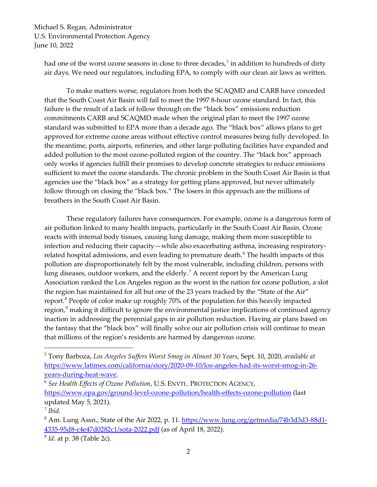Michael S. Regan, Administrator U.S. Environmental Protection Agency June 10, 2022

had one of the worst ozone seasons in close to three decades,<sup>[5](#page-1-0)</sup> in addition to hundreds of dirty air days. We need our regulators, including EPA, to comply with our clean air laws as written.

To make matters worse, regulators from both the SCAQMD and CARB have conceded that the South Coast Air Basin will fail to meet the 1997 8-hour ozone standard. In fact, this failure is the result of a lack of follow through on the "black box" emissions reduction commitments CARB and SCAQMD made when the original plan to meet the 1997 ozone standard was submitted to EPA more than a decade ago. The "black box" allows plans to get approved for extreme ozone areas without effective control measures being fully developed. In the meantime, ports, airports, refineries, and other large polluting facilities have expanded and added pollution to the most ozone-polluted region of the country. The "black box" approach only works if agencies fulfill their promises to develop concrete strategies to reduce emissions sufficient to meet the ozone standards. The chronic problem in the South Coast Air Basin is that agencies use the "black box" as a strategy for getting plans approved, but never ultimately follow through on closing the "black box." The losers in this approach are the millions of breathers in the South Coast Air Basin.

These regulatory failures have consequences. For example, ozone is a dangerous form of air pollution linked to many health impacts, particularly in the South Coast Air Basin. Ozone reacts with internal body tissues, causing lung damage, making them more susceptible to infection and reducing their capacity—while also exacerbating asthma, increasing respiratory-related hospital admissions, and even leading to premature death.<sup>[6](#page-1-1)</sup> The health impacts of this pollution are disproportionately felt by the most vulnerable, including children, persons with lung diseases, outdoor workers, and the elderly.<sup>[7](#page-1-2)</sup> A recent report by the American Lung Association ranked the Los Angeles region as the worst in the nation for ozone pollution, a slot the region has maintained for all but one of the 23 years tracked by the "State of the Air" report.<sup>[8](#page-1-3)</sup> People of color make up roughly 70% of the population for this heavily impacted region,<sup>[9](#page-1-4)</sup> making it difficult to ignore the environmental justice implications of continued agency inaction in addressing the perennial gaps in air pollution reduction. Having air plans based on the fantasy that the "black box" will finally solve our air pollution crisis will continue to mean that millions of the region's residents are harmed by dangerous ozone.

<span id="page-1-0"></span><sup>5</sup> Tony Barboza, *Los Angeles Suffers Worst Smog in Almost 30 Years*, Sept. 10, 2020, *available at* [https://www.latimes.com/california/story/2020-09-10/los-angeles-had-its-worst-smog-in-26](https://www.latimes.com/california/story/2020-09-10/los-angeles-had-its-worst-smog-in-26-years-during-heat-wave) [years-during-heat-wave.](https://www.latimes.com/california/story/2020-09-10/los-angeles-had-its-worst-smog-in-26-years-during-heat-wave)

<span id="page-1-1"></span><sup>6</sup> *See Health Effects of Ozone Pollution*, U.S. ENVTL. PROTECTION AGENCY, <https://www.epa.gov/ground-level-ozone-pollution/health-effects-ozone-pollution> (last updated May 5, 2021).

<span id="page-1-2"></span><sup>7</sup> *Ibid.*

<span id="page-1-3"></span><sup>&</sup>lt;sup>8</sup> Am. Lung Assn., State of the Air 2022, p. 11. [https://www.lung.org/getmedia/74b3d3d3-88d1-](https://www.lung.org/getmedia/74b3d3d3-88d1-4335-95d8-c4e47d0282c1/sota-2022.pdf) [4335-95d8-c4e47d0282c1/sota-2022.pdf](https://www.lung.org/getmedia/74b3d3d3-88d1-4335-95d8-c4e47d0282c1/sota-2022.pdf) (as of April 18, 2022).

<span id="page-1-4"></span><sup>9</sup> *Id.* at p. 38 (Table 2c).